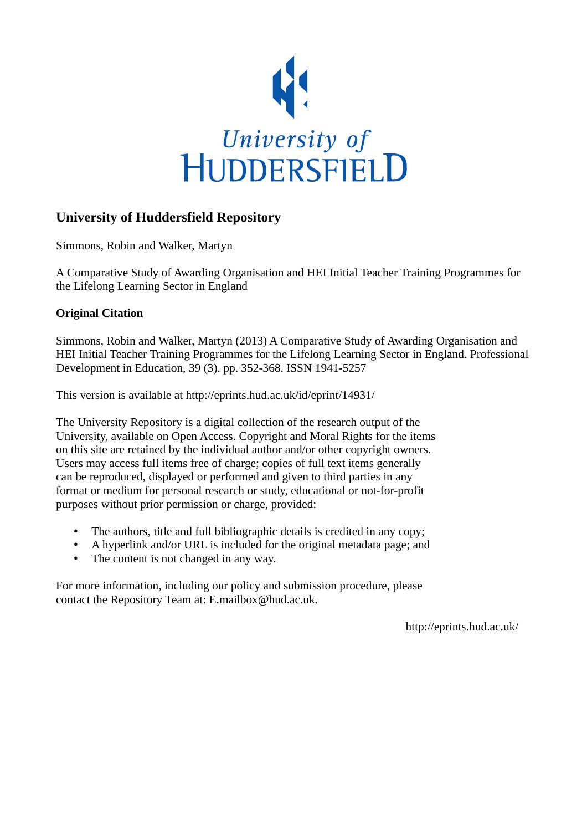

# **University of Huddersfield Repository**

Simmons, Robin and Walker, Martyn

A Comparative Study of Awarding Organisation and HEI Initial Teacher Training Programmes for the Lifelong Learning Sector in England

# **Original Citation**

Simmons, Robin and Walker, Martyn (2013) A Comparative Study of Awarding Organisation and HEI Initial Teacher Training Programmes for the Lifelong Learning Sector in England. Professional Development in Education, 39 (3). pp. 352-368. ISSN 1941-5257

This version is available at http://eprints.hud.ac.uk/id/eprint/14931/

The University Repository is a digital collection of the research output of the University, available on Open Access. Copyright and Moral Rights for the items on this site are retained by the individual author and/or other copyright owners. Users may access full items free of charge; copies of full text items generally can be reproduced, displayed or performed and given to third parties in any format or medium for personal research or study, educational or not-for-profit purposes without prior permission or charge, provided:

- The authors, title and full bibliographic details is credited in any copy;
- A hyperlink and/or URL is included for the original metadata page; and
- The content is not changed in any way.

For more information, including our policy and submission procedure, please contact the Repository Team at: E.mailbox@hud.ac.uk.

http://eprints.hud.ac.uk/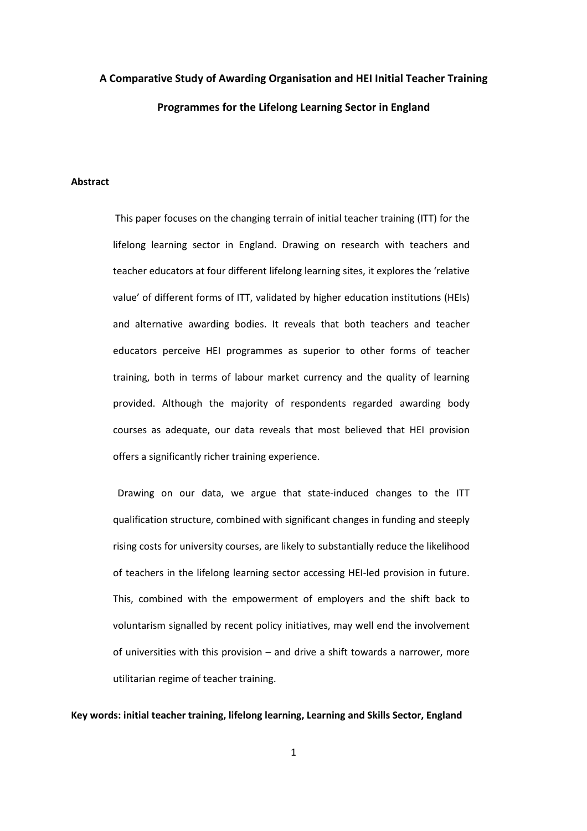# A Comparative Study of Awarding Organisation and HEI Initial Teacher Training Programmes for the Lifelong Learning Sector in England

### Abstract

 This paper focuses on the changing terrain of initial teacher training (ITT) for the lifelong learning sector in England. Drawing on research with teachers and teacher educators at four different lifelong learning sites, it explores the 'relative value' of different forms of ITT, validated by higher education institutions (HEIs) and alternative awarding bodies. It reveals that both teachers and teacher educators perceive HEI programmes as superior to other forms of teacher training, both in terms of labour market currency and the quality of learning provided. Although the majority of respondents regarded awarding body courses as adequate, our data reveals that most believed that HEI provision offers a significantly richer training experience.

 Drawing on our data, we argue that state-induced changes to the ITT qualification structure, combined with significant changes in funding and steeply rising costs for university courses, are likely to substantially reduce the likelihood of teachers in the lifelong learning sector accessing HEI-led provision in future. This, combined with the empowerment of employers and the shift back to voluntarism signalled by recent policy initiatives, may well end the involvement of universities with this provision – and drive a shift towards a narrower, more utilitarian regime of teacher training.

## Key words: initial teacher training, lifelong learning, Learning and Skills Sector, England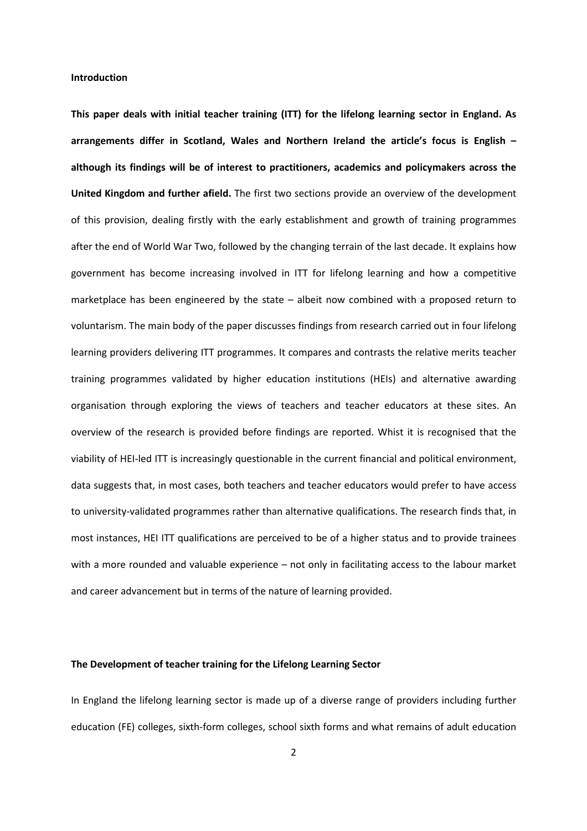#### Introduction

This paper deals with initial teacher training (ITT) for the lifelong learning sector in England. As arrangements differ in Scotland, Wales and Northern Ireland the article's focus is English – although its findings will be of interest to practitioners, academics and policymakers across the United Kingdom and further afield. The first two sections provide an overview of the development of this provision, dealing firstly with the early establishment and growth of training programmes after the end of World War Two, followed by the changing terrain of the last decade. It explains how government has become increasing involved in ITT for lifelong learning and how a competitive marketplace has been engineered by the state – albeit now combined with a proposed return to voluntarism. The main body of the paper discusses findings from research carried out in four lifelong learning providers delivering ITT programmes. It compares and contrasts the relative merits teacher training programmes validated by higher education institutions (HEIs) and alternative awarding organisation through exploring the views of teachers and teacher educators at these sites. An overview of the research is provided before findings are reported. Whist it is recognised that the viability of HEI-led ITT is increasingly questionable in the current financial and political environment, data suggests that, in most cases, both teachers and teacher educators would prefer to have access to university-validated programmes rather than alternative qualifications. The research finds that, in most instances, HEI ITT qualifications are perceived to be of a higher status and to provide trainees with a more rounded and valuable experience – not only in facilitating access to the labour market and career advancement but in terms of the nature of learning provided.

# The Development of teacher training for the Lifelong Learning Sector

In England the lifelong learning sector is made up of a diverse range of providers including further education (FE) colleges, sixth-form colleges, school sixth forms and what remains of adult education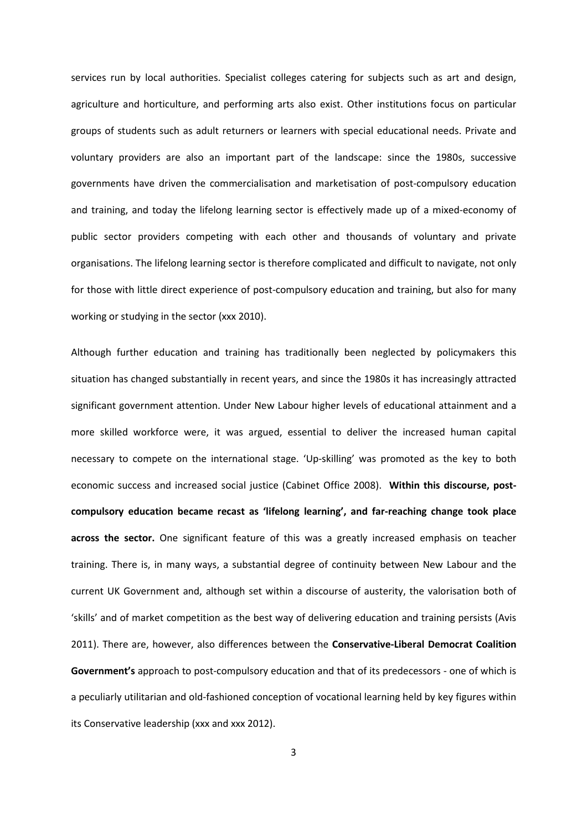services run by local authorities. Specialist colleges catering for subjects such as art and design, agriculture and horticulture, and performing arts also exist. Other institutions focus on particular groups of students such as adult returners or learners with special educational needs. Private and voluntary providers are also an important part of the landscape: since the 1980s, successive governments have driven the commercialisation and marketisation of post-compulsory education and training, and today the lifelong learning sector is effectively made up of a mixed-economy of public sector providers competing with each other and thousands of voluntary and private organisations. The lifelong learning sector is therefore complicated and difficult to navigate, not only for those with little direct experience of post-compulsory education and training, but also for many working or studying in the sector (xxx 2010).

Although further education and training has traditionally been neglected by policymakers this situation has changed substantially in recent years, and since the 1980s it has increasingly attracted significant government attention. Under New Labour higher levels of educational attainment and a more skilled workforce were, it was argued, essential to deliver the increased human capital necessary to compete on the international stage. 'Up-skilling' was promoted as the key to both economic success and increased social justice (Cabinet Office 2008). Within this discourse, postcompulsory education became recast as 'lifelong learning', and far-reaching change took place across the sector. One significant feature of this was a greatly increased emphasis on teacher training. There is, in many ways, a substantial degree of continuity between New Labour and the current UK Government and, although set within a discourse of austerity, the valorisation both of 'skills' and of market competition as the best way of delivering education and training persists (Avis 2011). There are, however, also differences between the Conservative-Liberal Democrat Coalition Government's approach to post-compulsory education and that of its predecessors - one of which is a peculiarly utilitarian and old-fashioned conception of vocational learning held by key figures within its Conservative leadership (xxx and xxx 2012).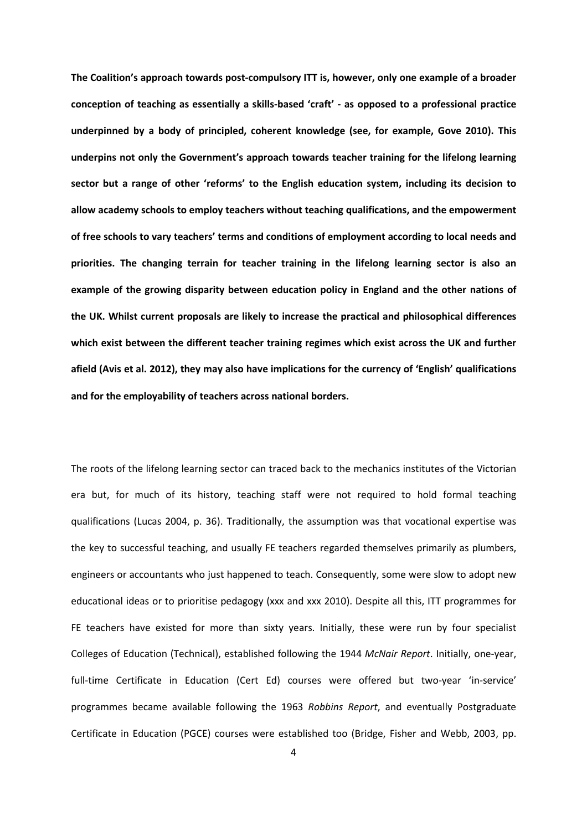The Coalition's approach towards post-compulsory ITT is, however, only one example of a broader conception of teaching as essentially a skills-based 'craft' - as opposed to a professional practice underpinned by a body of principled, coherent knowledge (see, for example, Gove 2010). This underpins not only the Government's approach towards teacher training for the lifelong learning sector but a range of other 'reforms' to the English education system, including its decision to allow academy schools to employ teachers without teaching qualifications, and the empowerment of free schools to vary teachers' terms and conditions of employment according to local needs and priorities. The changing terrain for teacher training in the lifelong learning sector is also an example of the growing disparity between education policy in England and the other nations of the UK. Whilst current proposals are likely to increase the practical and philosophical differences which exist between the different teacher training regimes which exist across the UK and further afield (Avis et al. 2012), they may also have implications for the currency of 'English' qualifications and for the employability of teachers across national borders.

The roots of the lifelong learning sector can traced back to the mechanics institutes of the Victorian era but, for much of its history, teaching staff were not required to hold formal teaching qualifications (Lucas 2004, p. 36). Traditionally, the assumption was that vocational expertise was the key to successful teaching, and usually FE teachers regarded themselves primarily as plumbers, engineers or accountants who just happened to teach. Consequently, some were slow to adopt new educational ideas or to prioritise pedagogy (xxx and xxx 2010). Despite all this, ITT programmes for FE teachers have existed for more than sixty years. Initially, these were run by four specialist Colleges of Education (Technical), established following the 1944 McNair Report. Initially, one-year, full-time Certificate in Education (Cert Ed) courses were offered but two-year 'in-service' programmes became available following the 1963 Robbins Report, and eventually Postgraduate Certificate in Education (PGCE) courses were established too (Bridge, Fisher and Webb, 2003, pp.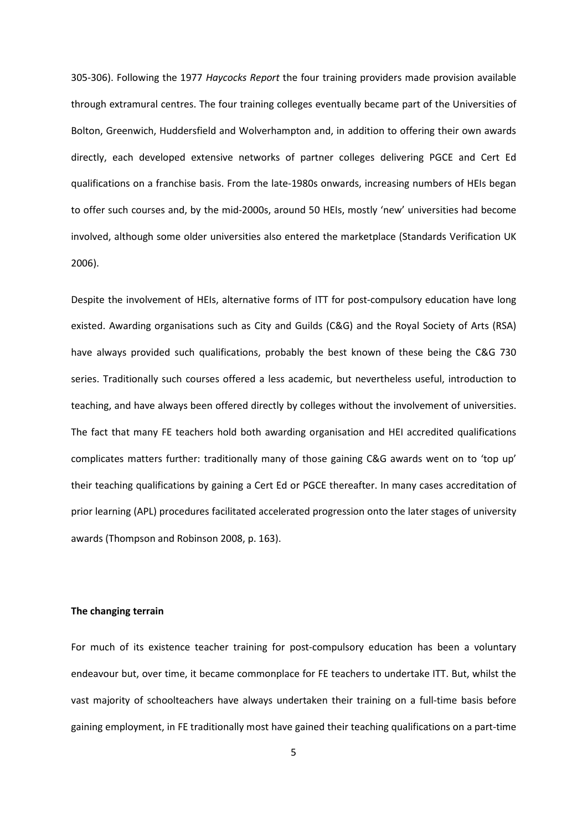305-306). Following the 1977 Haycocks Report the four training providers made provision available through extramural centres. The four training colleges eventually became part of the Universities of Bolton, Greenwich, Huddersfield and Wolverhampton and, in addition to offering their own awards directly, each developed extensive networks of partner colleges delivering PGCE and Cert Ed qualifications on a franchise basis. From the late-1980s onwards, increasing numbers of HEIs began to offer such courses and, by the mid-2000s, around 50 HEIs, mostly 'new' universities had become involved, although some older universities also entered the marketplace (Standards Verification UK 2006).

Despite the involvement of HEIs, alternative forms of ITT for post-compulsory education have long existed. Awarding organisations such as City and Guilds (C&G) and the Royal Society of Arts (RSA) have always provided such qualifications, probably the best known of these being the C&G 730 series. Traditionally such courses offered a less academic, but nevertheless useful, introduction to teaching, and have always been offered directly by colleges without the involvement of universities. The fact that many FE teachers hold both awarding organisation and HEI accredited qualifications complicates matters further: traditionally many of those gaining C&G awards went on to 'top up' their teaching qualifications by gaining a Cert Ed or PGCE thereafter. In many cases accreditation of prior learning (APL) procedures facilitated accelerated progression onto the later stages of university awards (Thompson and Robinson 2008, p. 163).

# The changing terrain

For much of its existence teacher training for post-compulsory education has been a voluntary endeavour but, over time, it became commonplace for FE teachers to undertake ITT. But, whilst the vast majority of schoolteachers have always undertaken their training on a full-time basis before gaining employment, in FE traditionally most have gained their teaching qualifications on a part-time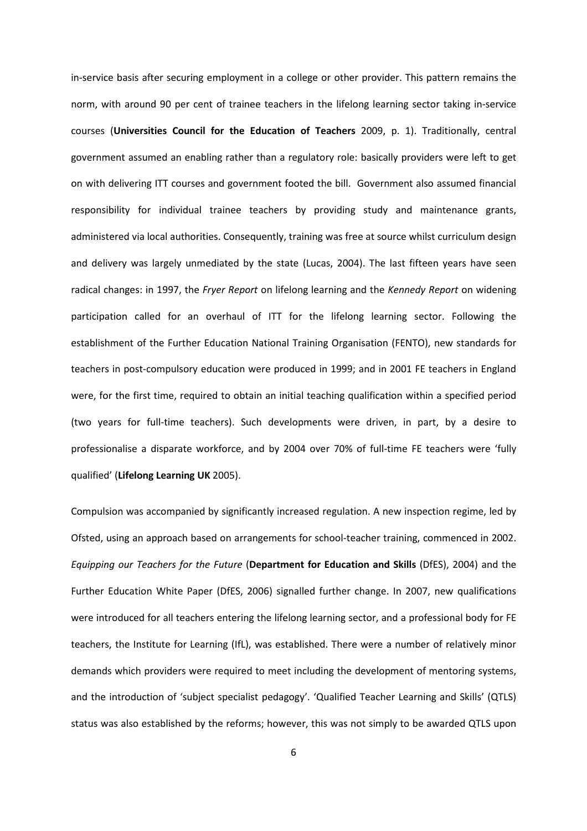in-service basis after securing employment in a college or other provider. This pattern remains the norm, with around 90 per cent of trainee teachers in the lifelong learning sector taking in-service courses (Universities Council for the Education of Teachers 2009, p. 1). Traditionally, central government assumed an enabling rather than a regulatory role: basically providers were left to get on with delivering ITT courses and government footed the bill. Government also assumed financial responsibility for individual trainee teachers by providing study and maintenance grants, administered via local authorities. Consequently, training was free at source whilst curriculum design and delivery was largely unmediated by the state (Lucas, 2004). The last fifteen years have seen radical changes: in 1997, the Fryer Report on lifelong learning and the Kennedy Report on widening participation called for an overhaul of ITT for the lifelong learning sector. Following the establishment of the Further Education National Training Organisation (FENTO), new standards for teachers in post-compulsory education were produced in 1999; and in 2001 FE teachers in England were, for the first time, required to obtain an initial teaching qualification within a specified period (two years for full-time teachers). Such developments were driven, in part, by a desire to professionalise a disparate workforce, and by 2004 over 70% of full-time FE teachers were 'fully qualified' (Lifelong Learning UK 2005).

Compulsion was accompanied by significantly increased regulation. A new inspection regime, led by Ofsted, using an approach based on arrangements for school-teacher training, commenced in 2002. Equipping our Teachers for the Future (Department for Education and Skills (DfES), 2004) and the Further Education White Paper (DfES, 2006) signalled further change. In 2007, new qualifications were introduced for all teachers entering the lifelong learning sector, and a professional body for FE teachers, the Institute for Learning (IfL), was established. There were a number of relatively minor demands which providers were required to meet including the development of mentoring systems, and the introduction of 'subject specialist pedagogy'. 'Qualified Teacher Learning and Skills' (QTLS) status was also established by the reforms; however, this was not simply to be awarded QTLS upon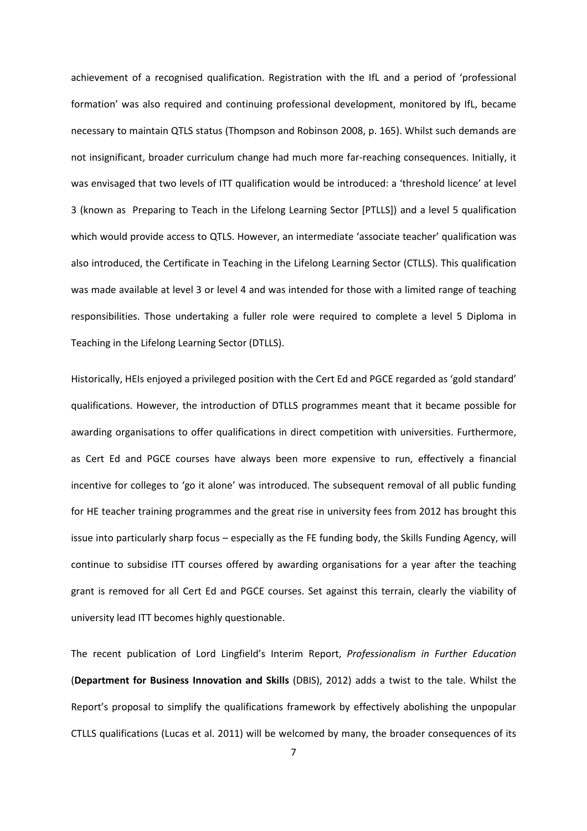achievement of a recognised qualification. Registration with the IfL and a period of 'professional formation' was also required and continuing professional development, monitored by IfL, became necessary to maintain QTLS status (Thompson and Robinson 2008, p. 165). Whilst such demands are not insignificant, broader curriculum change had much more far-reaching consequences. Initially, it was envisaged that two levels of ITT qualification would be introduced: a 'threshold licence' at level 3 (known as Preparing to Teach in the Lifelong Learning Sector [PTLLS]) and a level 5 qualification which would provide access to QTLS. However, an intermediate 'associate teacher' qualification was also introduced, the Certificate in Teaching in the Lifelong Learning Sector (CTLLS). This qualification was made available at level 3 or level 4 and was intended for those with a limited range of teaching responsibilities. Those undertaking a fuller role were required to complete a level 5 Diploma in Teaching in the Lifelong Learning Sector (DTLLS).

Historically, HEIs enjoyed a privileged position with the Cert Ed and PGCE regarded as 'gold standard' qualifications. However, the introduction of DTLLS programmes meant that it became possible for awarding organisations to offer qualifications in direct competition with universities. Furthermore, as Cert Ed and PGCE courses have always been more expensive to run, effectively a financial incentive for colleges to 'go it alone' was introduced. The subsequent removal of all public funding for HE teacher training programmes and the great rise in university fees from 2012 has brought this issue into particularly sharp focus – especially as the FE funding body, the Skills Funding Agency, will continue to subsidise ITT courses offered by awarding organisations for a year after the teaching grant is removed for all Cert Ed and PGCE courses. Set against this terrain, clearly the viability of university lead ITT becomes highly questionable.

The recent publication of Lord Lingfield's Interim Report, Professionalism in Further Education (Department for Business Innovation and Skills (DBIS), 2012) adds a twist to the tale. Whilst the Report's proposal to simplify the qualifications framework by effectively abolishing the unpopular CTLLS qualifications (Lucas et al. 2011) will be welcomed by many, the broader consequences of its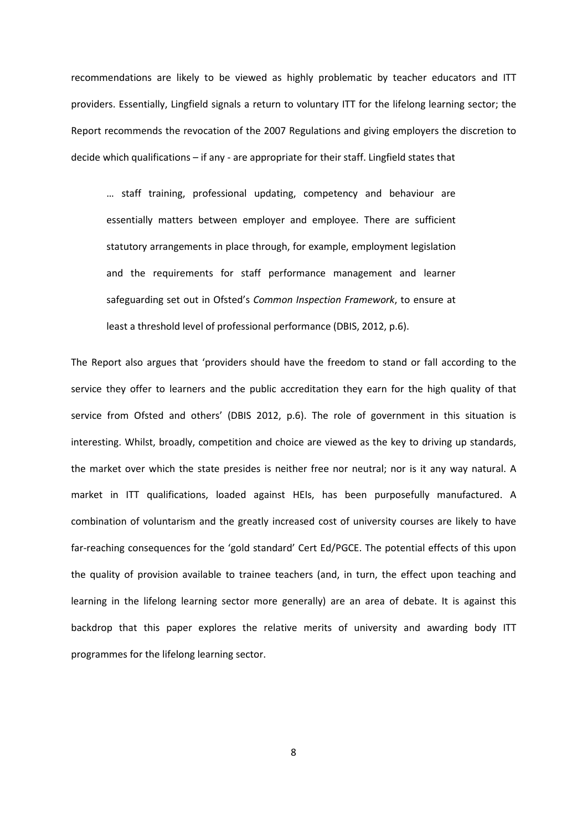recommendations are likely to be viewed as highly problematic by teacher educators and ITT providers. Essentially, Lingfield signals a return to voluntary ITT for the lifelong learning sector; the Report recommends the revocation of the 2007 Regulations and giving employers the discretion to decide which qualifications – if any - are appropriate for their staff. Lingfield states that

… staff training, professional updating, competency and behaviour are essentially matters between employer and employee. There are sufficient statutory arrangements in place through, for example, employment legislation and the requirements for staff performance management and learner safeguarding set out in Ofsted's Common Inspection Framework, to ensure at least a threshold level of professional performance (DBIS, 2012, p.6).

The Report also argues that 'providers should have the freedom to stand or fall according to the service they offer to learners and the public accreditation they earn for the high quality of that service from Ofsted and others' (DBIS 2012, p.6). The role of government in this situation is interesting. Whilst, broadly, competition and choice are viewed as the key to driving up standards, the market over which the state presides is neither free nor neutral; nor is it any way natural. A market in ITT qualifications, loaded against HEIs, has been purposefully manufactured. A combination of voluntarism and the greatly increased cost of university courses are likely to have far-reaching consequences for the 'gold standard' Cert Ed/PGCE. The potential effects of this upon the quality of provision available to trainee teachers (and, in turn, the effect upon teaching and learning in the lifelong learning sector more generally) are an area of debate. It is against this backdrop that this paper explores the relative merits of university and awarding body ITT programmes for the lifelong learning sector.

8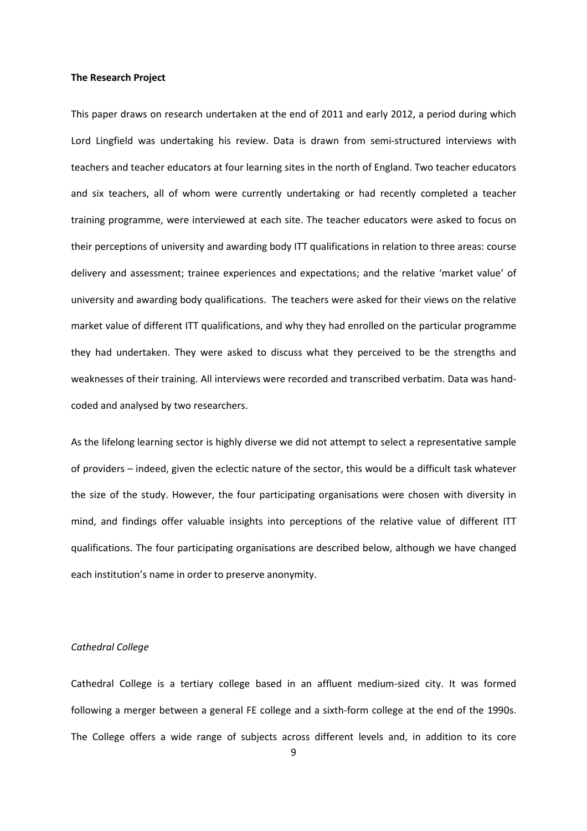#### The Research Project

This paper draws on research undertaken at the end of 2011 and early 2012, a period during which Lord Lingfield was undertaking his review. Data is drawn from semi-structured interviews with teachers and teacher educators at four learning sites in the north of England. Two teacher educators and six teachers, all of whom were currently undertaking or had recently completed a teacher training programme, were interviewed at each site. The teacher educators were asked to focus on their perceptions of university and awarding body ITT qualifications in relation to three areas: course delivery and assessment; trainee experiences and expectations; and the relative 'market value' of university and awarding body qualifications. The teachers were asked for their views on the relative market value of different ITT qualifications, and why they had enrolled on the particular programme they had undertaken. They were asked to discuss what they perceived to be the strengths and weaknesses of their training. All interviews were recorded and transcribed verbatim. Data was handcoded and analysed by two researchers.

As the lifelong learning sector is highly diverse we did not attempt to select a representative sample of providers – indeed, given the eclectic nature of the sector, this would be a difficult task whatever the size of the study. However, the four participating organisations were chosen with diversity in mind, and findings offer valuable insights into perceptions of the relative value of different ITT qualifications. The four participating organisations are described below, although we have changed each institution's name in order to preserve anonymity.

# Cathedral College

Cathedral College is a tertiary college based in an affluent medium-sized city. It was formed following a merger between a general FE college and a sixth-form college at the end of the 1990s. The College offers a wide range of subjects across different levels and, in addition to its core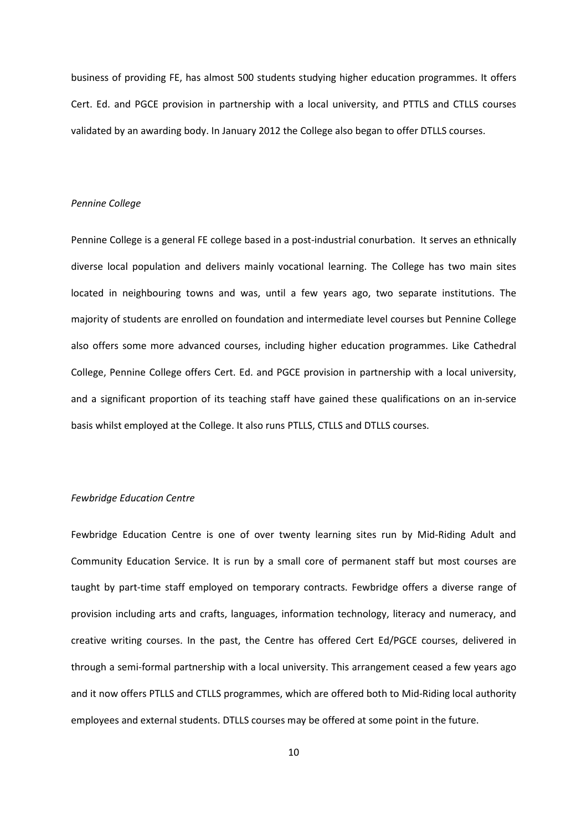business of providing FE, has almost 500 students studying higher education programmes. It offers Cert. Ed. and PGCE provision in partnership with a local university, and PTTLS and CTLLS courses validated by an awarding body. In January 2012 the College also began to offer DTLLS courses.

#### Pennine College

Pennine College is a general FE college based in a post-industrial conurbation. It serves an ethnically diverse local population and delivers mainly vocational learning. The College has two main sites located in neighbouring towns and was, until a few years ago, two separate institutions. The majority of students are enrolled on foundation and intermediate level courses but Pennine College also offers some more advanced courses, including higher education programmes. Like Cathedral College, Pennine College offers Cert. Ed. and PGCE provision in partnership with a local university, and a significant proportion of its teaching staff have gained these qualifications on an in-service basis whilst employed at the College. It also runs PTLLS, CTLLS and DTLLS courses.

#### Fewbridge Education Centre

Fewbridge Education Centre is one of over twenty learning sites run by Mid-Riding Adult and Community Education Service. It is run by a small core of permanent staff but most courses are taught by part-time staff employed on temporary contracts. Fewbridge offers a diverse range of provision including arts and crafts, languages, information technology, literacy and numeracy, and creative writing courses. In the past, the Centre has offered Cert Ed/PGCE courses, delivered in through a semi-formal partnership with a local university. This arrangement ceased a few years ago and it now offers PTLLS and CTLLS programmes, which are offered both to Mid-Riding local authority employees and external students. DTLLS courses may be offered at some point in the future.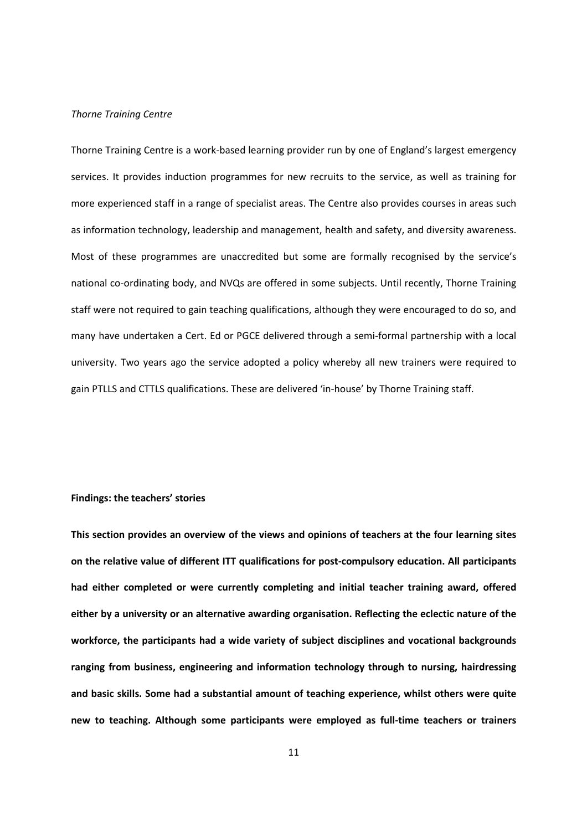# Thorne Training Centre

Thorne Training Centre is a work-based learning provider run by one of England's largest emergency services. It provides induction programmes for new recruits to the service, as well as training for more experienced staff in a range of specialist areas. The Centre also provides courses in areas such as information technology, leadership and management, health and safety, and diversity awareness. Most of these programmes are unaccredited but some are formally recognised by the service's national co-ordinating body, and NVQs are offered in some subjects. Until recently, Thorne Training staff were not required to gain teaching qualifications, although they were encouraged to do so, and many have undertaken a Cert. Ed or PGCE delivered through a semi-formal partnership with a local university. Two years ago the service adopted a policy whereby all new trainers were required to gain PTLLS and CTTLS qualifications. These are delivered 'in-house' by Thorne Training staff.

#### Findings: the teachers' stories

This section provides an overview of the views and opinions of teachers at the four learning sites on the relative value of different ITT qualifications for post-compulsory education. All participants had either completed or were currently completing and initial teacher training award, offered either by a university or an alternative awarding organisation. Reflecting the eclectic nature of the workforce, the participants had a wide variety of subject disciplines and vocational backgrounds ranging from business, engineering and information technology through to nursing, hairdressing and basic skills. Some had a substantial amount of teaching experience, whilst others were quite new to teaching. Although some participants were employed as full-time teachers or trainers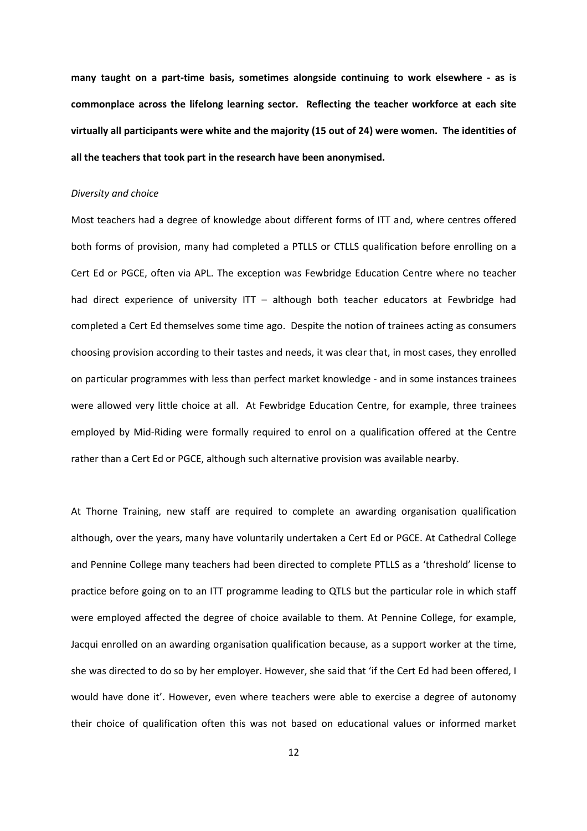many taught on a part-time basis, sometimes alongside continuing to work elsewhere - as is commonplace across the lifelong learning sector. Reflecting the teacher workforce at each site virtually all participants were white and the majority (15 out of 24) were women. The identities of all the teachers that took part in the research have been anonymised.

#### Diversity and choice

Most teachers had a degree of knowledge about different forms of ITT and, where centres offered both forms of provision, many had completed a PTLLS or CTLLS qualification before enrolling on a Cert Ed or PGCE, often via APL. The exception was Fewbridge Education Centre where no teacher had direct experience of university ITT - although both teacher educators at Fewbridge had completed a Cert Ed themselves some time ago. Despite the notion of trainees acting as consumers choosing provision according to their tastes and needs, it was clear that, in most cases, they enrolled on particular programmes with less than perfect market knowledge - and in some instances trainees were allowed very little choice at all. At Fewbridge Education Centre, for example, three trainees employed by Mid-Riding were formally required to enrol on a qualification offered at the Centre rather than a Cert Ed or PGCE, although such alternative provision was available nearby.

At Thorne Training, new staff are required to complete an awarding organisation qualification although, over the years, many have voluntarily undertaken a Cert Ed or PGCE. At Cathedral College and Pennine College many teachers had been directed to complete PTLLS as a 'threshold' license to practice before going on to an ITT programme leading to QTLS but the particular role in which staff were employed affected the degree of choice available to them. At Pennine College, for example, Jacqui enrolled on an awarding organisation qualification because, as a support worker at the time, she was directed to do so by her employer. However, she said that 'if the Cert Ed had been offered, I would have done it'. However, even where teachers were able to exercise a degree of autonomy their choice of qualification often this was not based on educational values or informed market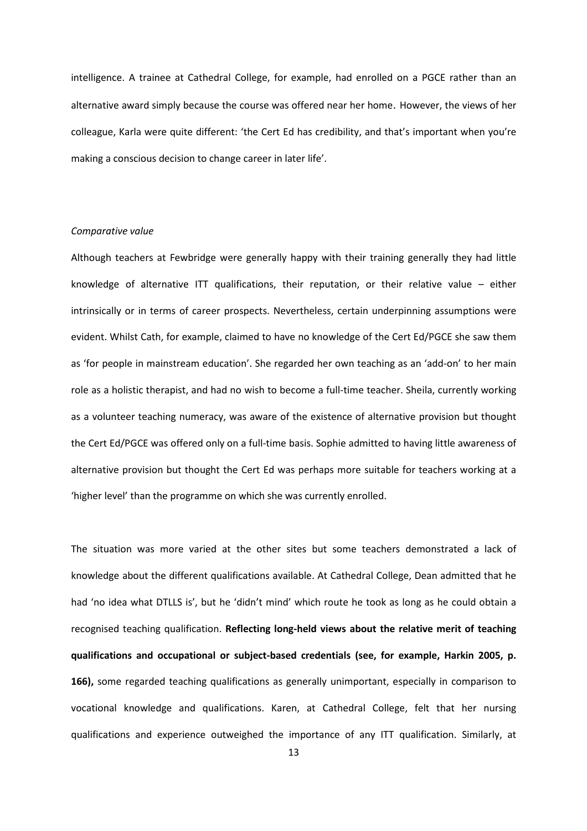intelligence. A trainee at Cathedral College, for example, had enrolled on a PGCE rather than an alternative award simply because the course was offered near her home. However, the views of her colleague, Karla were quite different: 'the Cert Ed has credibility, and that's important when you're making a conscious decision to change career in later life'.

# Comparative value

Although teachers at Fewbridge were generally happy with their training generally they had little knowledge of alternative ITT qualifications, their reputation, or their relative value – either intrinsically or in terms of career prospects. Nevertheless, certain underpinning assumptions were evident. Whilst Cath, for example, claimed to have no knowledge of the Cert Ed/PGCE she saw them as 'for people in mainstream education'. She regarded her own teaching as an 'add-on' to her main role as a holistic therapist, and had no wish to become a full-time teacher. Sheila, currently working as a volunteer teaching numeracy, was aware of the existence of alternative provision but thought the Cert Ed/PGCE was offered only on a full-time basis. Sophie admitted to having little awareness of alternative provision but thought the Cert Ed was perhaps more suitable for teachers working at a 'higher level' than the programme on which she was currently enrolled.

The situation was more varied at the other sites but some teachers demonstrated a lack of knowledge about the different qualifications available. At Cathedral College, Dean admitted that he had 'no idea what DTLLS is', but he 'didn't mind' which route he took as long as he could obtain a recognised teaching qualification. Reflecting long-held views about the relative merit of teaching qualifications and occupational or subject-based credentials (see, for example, Harkin 2005, p. 166), some regarded teaching qualifications as generally unimportant, especially in comparison to vocational knowledge and qualifications. Karen, at Cathedral College, felt that her nursing qualifications and experience outweighed the importance of any ITT qualification. Similarly, at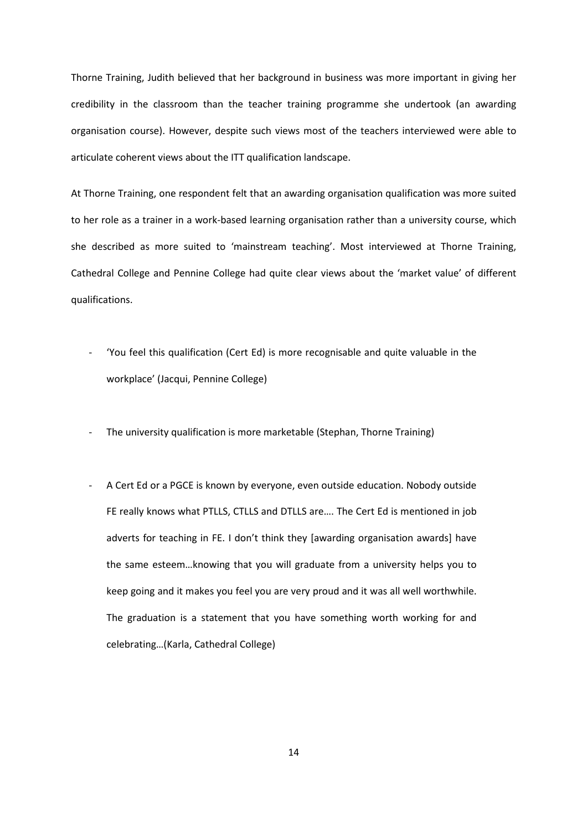Thorne Training, Judith believed that her background in business was more important in giving her credibility in the classroom than the teacher training programme she undertook (an awarding organisation course). However, despite such views most of the teachers interviewed were able to articulate coherent views about the ITT qualification landscape.

At Thorne Training, one respondent felt that an awarding organisation qualification was more suited to her role as a trainer in a work-based learning organisation rather than a university course, which she described as more suited to 'mainstream teaching'. Most interviewed at Thorne Training, Cathedral College and Pennine College had quite clear views about the 'market value' of different qualifications.

- 'You feel this qualification (Cert Ed) is more recognisable and quite valuable in the workplace' (Jacqui, Pennine College)
- The university qualification is more marketable (Stephan, Thorne Training)
- A Cert Ed or a PGCE is known by everyone, even outside education. Nobody outside FE really knows what PTLLS, CTLLS and DTLLS are…. The Cert Ed is mentioned in job adverts for teaching in FE. I don't think they [awarding organisation awards] have the same esteem…knowing that you will graduate from a university helps you to keep going and it makes you feel you are very proud and it was all well worthwhile. The graduation is a statement that you have something worth working for and celebrating…(Karla, Cathedral College)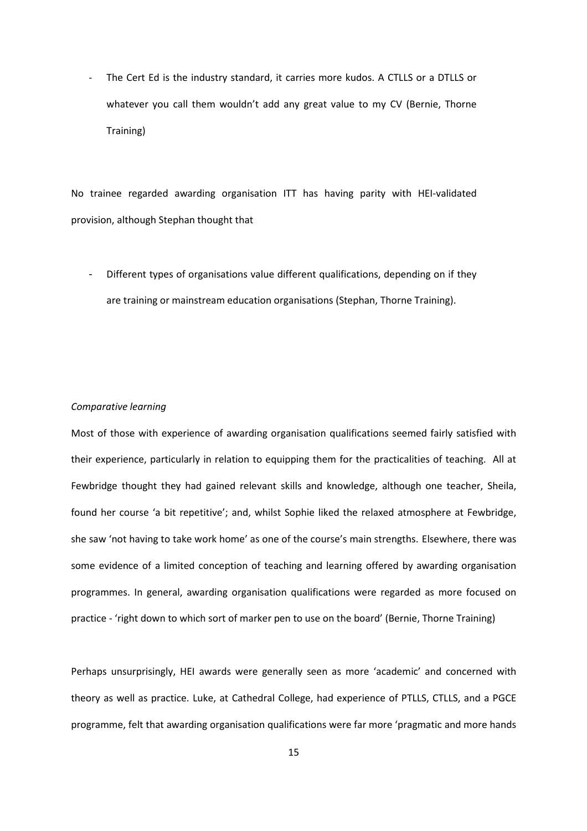The Cert Ed is the industry standard, it carries more kudos. A CTLLS or a DTLLS or whatever you call them wouldn't add any great value to my CV (Bernie, Thorne Training)

No trainee regarded awarding organisation ITT has having parity with HEI-validated provision, although Stephan thought that

Different types of organisations value different qualifications, depending on if they are training or mainstream education organisations (Stephan, Thorne Training).

# Comparative learning

Most of those with experience of awarding organisation qualifications seemed fairly satisfied with their experience, particularly in relation to equipping them for the practicalities of teaching. All at Fewbridge thought they had gained relevant skills and knowledge, although one teacher, Sheila, found her course 'a bit repetitive'; and, whilst Sophie liked the relaxed atmosphere at Fewbridge, she saw 'not having to take work home' as one of the course's main strengths. Elsewhere, there was some evidence of a limited conception of teaching and learning offered by awarding organisation programmes. In general, awarding organisation qualifications were regarded as more focused on practice - 'right down to which sort of marker pen to use on the board' (Bernie, Thorne Training)

Perhaps unsurprisingly, HEI awards were generally seen as more 'academic' and concerned with theory as well as practice. Luke, at Cathedral College, had experience of PTLLS, CTLLS, and a PGCE programme, felt that awarding organisation qualifications were far more 'pragmatic and more hands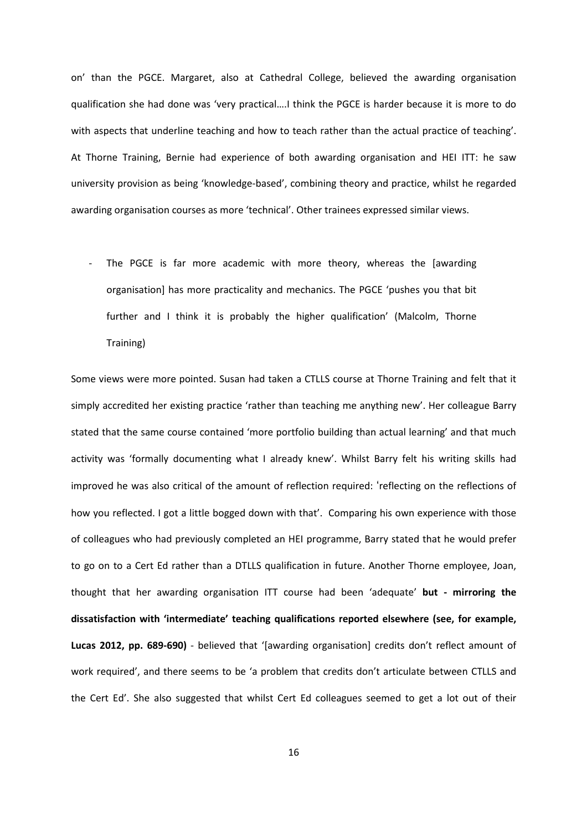on' than the PGCE. Margaret, also at Cathedral College, believed the awarding organisation qualification she had done was 'very practical….I think the PGCE is harder because it is more to do with aspects that underline teaching and how to teach rather than the actual practice of teaching'. At Thorne Training, Bernie had experience of both awarding organisation and HEI ITT: he saw university provision as being 'knowledge-based', combining theory and practice, whilst he regarded awarding organisation courses as more 'technical'. Other trainees expressed similar views.

The PGCE is far more academic with more theory, whereas the [awarding organisation] has more practicality and mechanics. The PGCE 'pushes you that bit further and I think it is probably the higher qualification' (Malcolm, Thorne Training)

Some views were more pointed. Susan had taken a CTLLS course at Thorne Training and felt that it simply accredited her existing practice 'rather than teaching me anything new'. Her colleague Barry stated that the same course contained 'more portfolio building than actual learning' and that much activity was 'formally documenting what I already knew'. Whilst Barry felt his writing skills had improved he was also critical of the amount of reflection required: 'reflecting on the reflections of how you reflected. I got a little bogged down with that'. Comparing his own experience with those of colleagues who had previously completed an HEI programme, Barry stated that he would prefer to go on to a Cert Ed rather than a DTLLS qualification in future. Another Thorne employee, Joan, thought that her awarding organisation ITT course had been 'adequate' but - mirroring the dissatisfaction with 'intermediate' teaching qualifications reported elsewhere (see, for example, Lucas 2012, pp. 689-690) - believed that '[awarding organisation] credits don't reflect amount of work required', and there seems to be 'a problem that credits don't articulate between CTLLS and the Cert Ed'. She also suggested that whilst Cert Ed colleagues seemed to get a lot out of their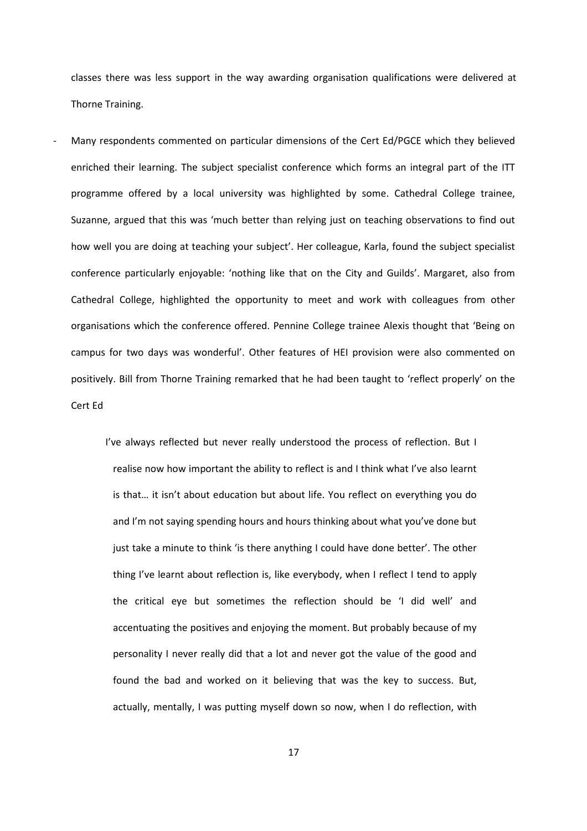classes there was less support in the way awarding organisation qualifications were delivered at Thorne Training.

Many respondents commented on particular dimensions of the Cert Ed/PGCE which they believed enriched their learning. The subject specialist conference which forms an integral part of the ITT programme offered by a local university was highlighted by some. Cathedral College trainee, Suzanne, argued that this was 'much better than relying just on teaching observations to find out how well you are doing at teaching your subject'. Her colleague, Karla, found the subject specialist conference particularly enjoyable: 'nothing like that on the City and Guilds'. Margaret, also from Cathedral College, highlighted the opportunity to meet and work with colleagues from other organisations which the conference offered. Pennine College trainee Alexis thought that 'Being on campus for two days was wonderful'. Other features of HEI provision were also commented on positively. Bill from Thorne Training remarked that he had been taught to 'reflect properly' on the Cert Ed

> I've always reflected but never really understood the process of reflection. But I realise now how important the ability to reflect is and I think what I've also learnt is that… it isn't about education but about life. You reflect on everything you do and I'm not saying spending hours and hours thinking about what you've done but just take a minute to think 'is there anything I could have done better'. The other thing I've learnt about reflection is, like everybody, when I reflect I tend to apply the critical eye but sometimes the reflection should be 'I did well' and accentuating the positives and enjoying the moment. But probably because of my personality I never really did that a lot and never got the value of the good and found the bad and worked on it believing that was the key to success. But, actually, mentally, I was putting myself down so now, when I do reflection, with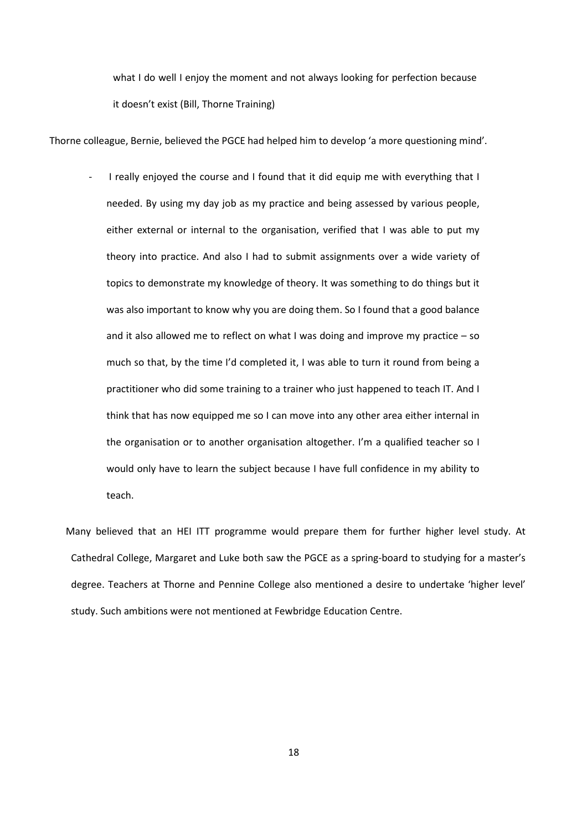what I do well I enjoy the moment and not always looking for perfection because it doesn't exist (Bill, Thorne Training)

Thorne colleague, Bernie, believed the PGCE had helped him to develop 'a more questioning mind'.

I really enjoyed the course and I found that it did equip me with everything that I needed. By using my day job as my practice and being assessed by various people, either external or internal to the organisation, verified that I was able to put my theory into practice. And also I had to submit assignments over a wide variety of topics to demonstrate my knowledge of theory. It was something to do things but it was also important to know why you are doing them. So I found that a good balance and it also allowed me to reflect on what I was doing and improve my practice – so much so that, by the time I'd completed it, I was able to turn it round from being a practitioner who did some training to a trainer who just happened to teach IT. And I think that has now equipped me so I can move into any other area either internal in the organisation or to another organisation altogether. I'm a qualified teacher so I would only have to learn the subject because I have full confidence in my ability to teach.

 Many believed that an HEI ITT programme would prepare them for further higher level study. At Cathedral College, Margaret and Luke both saw the PGCE as a spring-board to studying for a master's degree. Teachers at Thorne and Pennine College also mentioned a desire to undertake 'higher level' study. Such ambitions were not mentioned at Fewbridge Education Centre.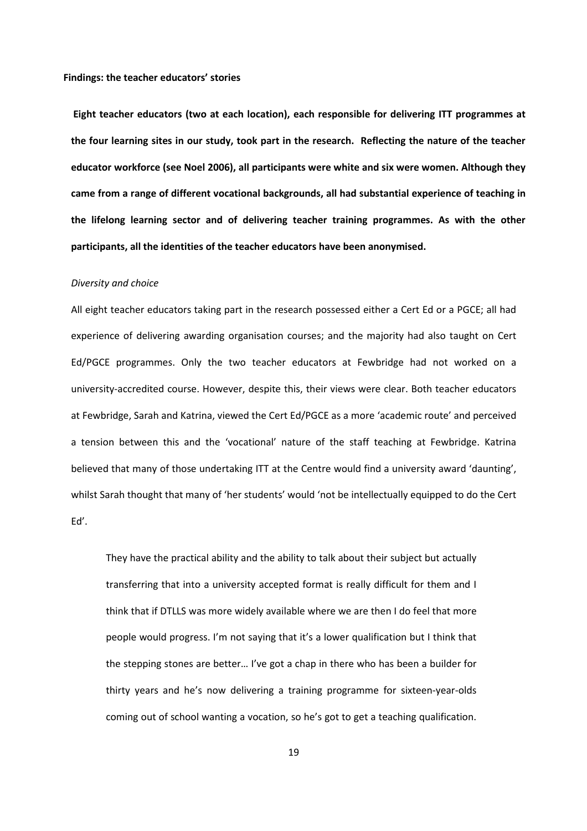Findings: the teacher educators' stories

 Eight teacher educators (two at each location), each responsible for delivering ITT programmes at the four learning sites in our study, took part in the research. Reflecting the nature of the teacher educator workforce (see Noel 2006), all participants were white and six were women. Although they came from a range of different vocational backgrounds, all had substantial experience of teaching in the lifelong learning sector and of delivering teacher training programmes. As with the other participants, all the identities of the teacher educators have been anonymised.

#### Diversity and choice

All eight teacher educators taking part in the research possessed either a Cert Ed or a PGCE; all had experience of delivering awarding organisation courses; and the majority had also taught on Cert Ed/PGCE programmes. Only the two teacher educators at Fewbridge had not worked on a university-accredited course. However, despite this, their views were clear. Both teacher educators at Fewbridge, Sarah and Katrina, viewed the Cert Ed/PGCE as a more 'academic route' and perceived a tension between this and the 'vocational' nature of the staff teaching at Fewbridge. Katrina believed that many of those undertaking ITT at the Centre would find a university award 'daunting', whilst Sarah thought that many of 'her students' would 'not be intellectually equipped to do the Cert Ed'.

They have the practical ability and the ability to talk about their subject but actually transferring that into a university accepted format is really difficult for them and I think that if DTLLS was more widely available where we are then I do feel that more people would progress. I'm not saying that it's a lower qualification but I think that the stepping stones are better… I've got a chap in there who has been a builder for thirty years and he's now delivering a training programme for sixteen-year-olds coming out of school wanting a vocation, so he's got to get a teaching qualification.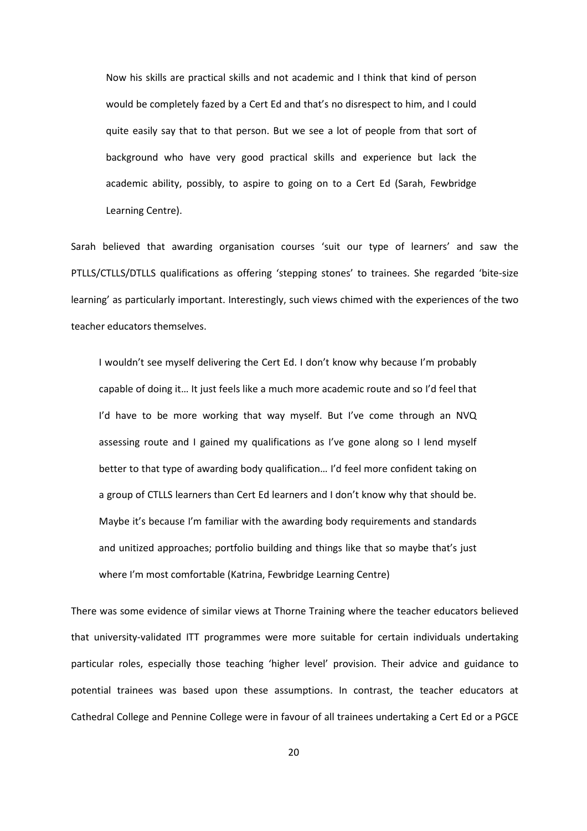Now his skills are practical skills and not academic and I think that kind of person would be completely fazed by a Cert Ed and that's no disrespect to him, and I could quite easily say that to that person. But we see a lot of people from that sort of background who have very good practical skills and experience but lack the academic ability, possibly, to aspire to going on to a Cert Ed (Sarah, Fewbridge Learning Centre).

Sarah believed that awarding organisation courses 'suit our type of learners' and saw the PTLLS/CTLLS/DTLLS qualifications as offering 'stepping stones' to trainees. She regarded 'bite-size learning' as particularly important. Interestingly, such views chimed with the experiences of the two teacher educators themselves.

I wouldn't see myself delivering the Cert Ed. I don't know why because I'm probably capable of doing it… It just feels like a much more academic route and so I'd feel that I'd have to be more working that way myself. But I've come through an NVQ assessing route and I gained my qualifications as I've gone along so I lend myself better to that type of awarding body qualification… I'd feel more confident taking on a group of CTLLS learners than Cert Ed learners and I don't know why that should be. Maybe it's because I'm familiar with the awarding body requirements and standards and unitized approaches; portfolio building and things like that so maybe that's just where I'm most comfortable (Katrina, Fewbridge Learning Centre)

There was some evidence of similar views at Thorne Training where the teacher educators believed that university-validated ITT programmes were more suitable for certain individuals undertaking particular roles, especially those teaching 'higher level' provision. Their advice and guidance to potential trainees was based upon these assumptions. In contrast, the teacher educators at Cathedral College and Pennine College were in favour of all trainees undertaking a Cert Ed or a PGCE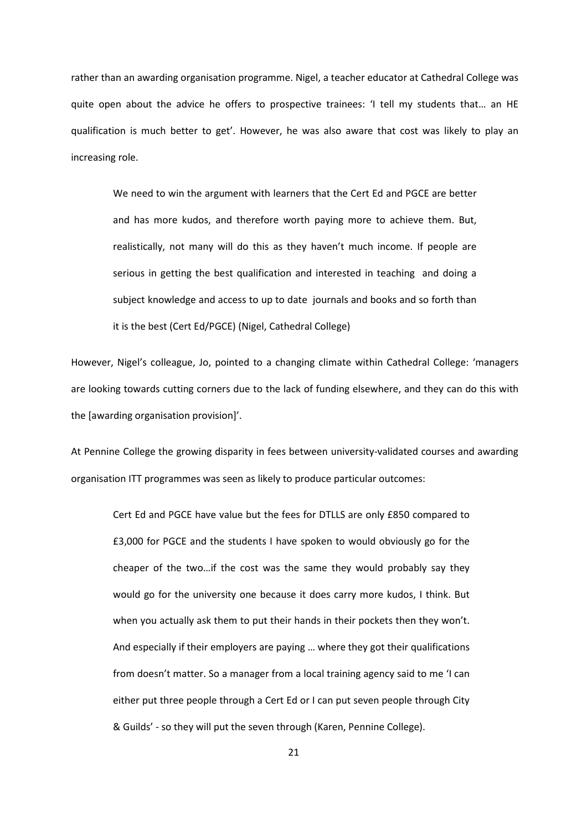rather than an awarding organisation programme. Nigel, a teacher educator at Cathedral College was quite open about the advice he offers to prospective trainees: 'I tell my students that… an HE qualification is much better to get'. However, he was also aware that cost was likely to play an increasing role.

We need to win the argument with learners that the Cert Ed and PGCE are better and has more kudos, and therefore worth paying more to achieve them. But, realistically, not many will do this as they haven't much income. If people are serious in getting the best qualification and interested in teaching and doing a subject knowledge and access to up to date journals and books and so forth than it is the best (Cert Ed/PGCE) (Nigel, Cathedral College)

However, Nigel's colleague, Jo, pointed to a changing climate within Cathedral College: 'managers are looking towards cutting corners due to the lack of funding elsewhere, and they can do this with the [awarding organisation provision]'.

At Pennine College the growing disparity in fees between university-validated courses and awarding organisation ITT programmes was seen as likely to produce particular outcomes:

Cert Ed and PGCE have value but the fees for DTLLS are only £850 compared to £3,000 for PGCE and the students I have spoken to would obviously go for the cheaper of the two…if the cost was the same they would probably say they would go for the university one because it does carry more kudos, I think. But when you actually ask them to put their hands in their pockets then they won't. And especially if their employers are paying … where they got their qualifications from doesn't matter. So a manager from a local training agency said to me 'I can either put three people through a Cert Ed or I can put seven people through City & Guilds' - so they will put the seven through (Karen, Pennine College).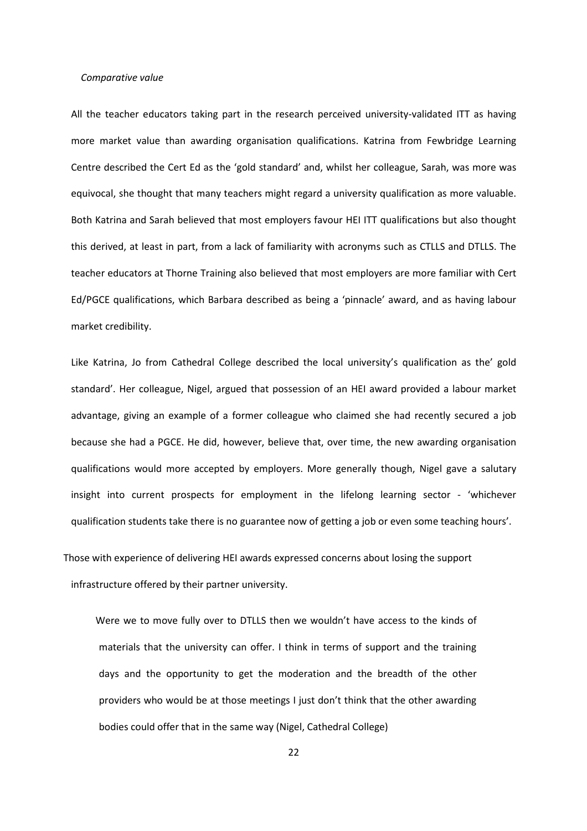#### Comparative value

All the teacher educators taking part in the research perceived university-validated ITT as having more market value than awarding organisation qualifications. Katrina from Fewbridge Learning Centre described the Cert Ed as the 'gold standard' and, whilst her colleague, Sarah, was more was equivocal, she thought that many teachers might regard a university qualification as more valuable. Both Katrina and Sarah believed that most employers favour HEI ITT qualifications but also thought this derived, at least in part, from a lack of familiarity with acronyms such as CTLLS and DTLLS. The teacher educators at Thorne Training also believed that most employers are more familiar with Cert Ed/PGCE qualifications, which Barbara described as being a 'pinnacle' award, and as having labour market credibility.

Like Katrina, Jo from Cathedral College described the local university's qualification as the' gold standard'. Her colleague, Nigel, argued that possession of an HEI award provided a labour market advantage, giving an example of a former colleague who claimed she had recently secured a job because she had a PGCE. He did, however, believe that, over time, the new awarding organisation qualifications would more accepted by employers. More generally though, Nigel gave a salutary insight into current prospects for employment in the lifelong learning sector - 'whichever qualification students take there is no guarantee now of getting a job or even some teaching hours'.

 Those with experience of delivering HEI awards expressed concerns about losing the support infrastructure offered by their partner university.

 Were we to move fully over to DTLLS then we wouldn't have access to the kinds of materials that the university can offer. I think in terms of support and the training days and the opportunity to get the moderation and the breadth of the other providers who would be at those meetings I just don't think that the other awarding bodies could offer that in the same way (Nigel, Cathedral College)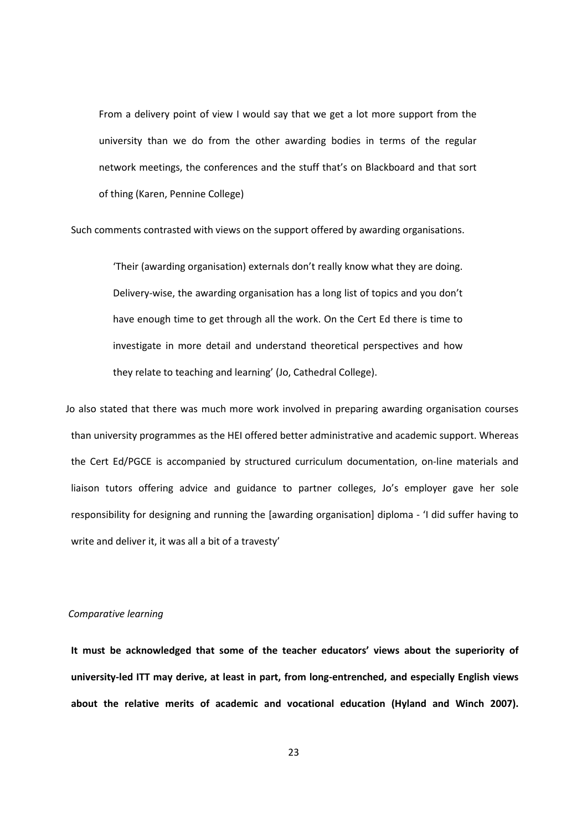From a delivery point of view I would say that we get a lot more support from the university than we do from the other awarding bodies in terms of the regular network meetings, the conferences and the stuff that's on Blackboard and that sort of thing (Karen, Pennine College)

Such comments contrasted with views on the support offered by awarding organisations.

'Their (awarding organisation) externals don't really know what they are doing. Delivery-wise, the awarding organisation has a long list of topics and you don't have enough time to get through all the work. On the Cert Ed there is time to investigate in more detail and understand theoretical perspectives and how they relate to teaching and learning' (Jo, Cathedral College).

 Jo also stated that there was much more work involved in preparing awarding organisation courses than university programmes as the HEI offered better administrative and academic support. Whereas the Cert Ed/PGCE is accompanied by structured curriculum documentation, on-line materials and liaison tutors offering advice and guidance to partner colleges, Jo's employer gave her sole responsibility for designing and running the [awarding organisation] diploma - 'I did suffer having to write and deliver it, it was all a bit of a travesty'

#### Comparative learning

It must be acknowledged that some of the teacher educators' views about the superiority of university-led ITT may derive, at least in part, from long-entrenched, and especially English views about the relative merits of academic and vocational education (Hyland and Winch 2007).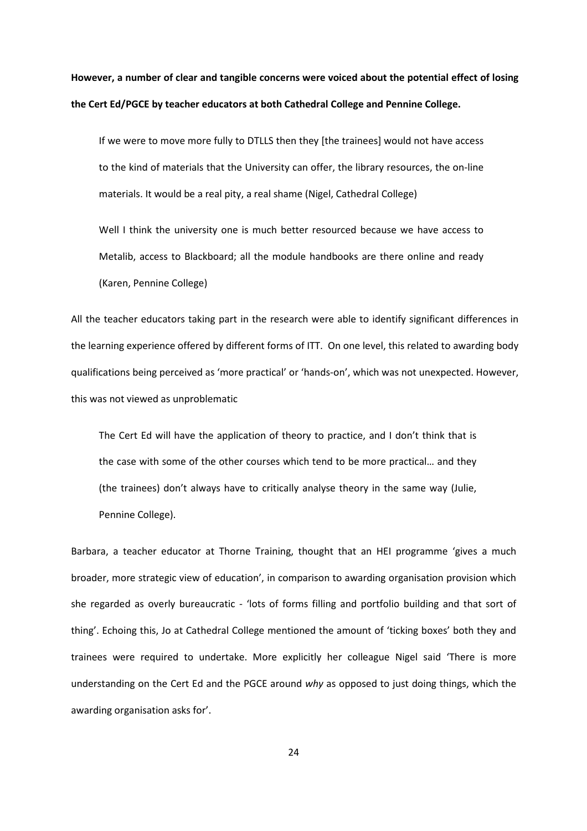However, a number of clear and tangible concerns were voiced about the potential effect of losing the Cert Ed/PGCE by teacher educators at both Cathedral College and Pennine College.

If we were to move more fully to DTLLS then they [the trainees] would not have access to the kind of materials that the University can offer, the library resources, the on-line materials. It would be a real pity, a real shame (Nigel, Cathedral College)

Well I think the university one is much better resourced because we have access to Metalib, access to Blackboard; all the module handbooks are there online and ready (Karen, Pennine College)

All the teacher educators taking part in the research were able to identify significant differences in the learning experience offered by different forms of ITT. On one level, this related to awarding body qualifications being perceived as 'more practical' or 'hands-on', which was not unexpected. However, this was not viewed as unproblematic

The Cert Ed will have the application of theory to practice, and I don't think that is the case with some of the other courses which tend to be more practical… and they (the trainees) don't always have to critically analyse theory in the same way (Julie, Pennine College).

Barbara, a teacher educator at Thorne Training, thought that an HEI programme 'gives a much broader, more strategic view of education', in comparison to awarding organisation provision which she regarded as overly bureaucratic - 'lots of forms filling and portfolio building and that sort of thing'. Echoing this, Jo at Cathedral College mentioned the amount of 'ticking boxes' both they and trainees were required to undertake. More explicitly her colleague Nigel said 'There is more understanding on the Cert Ed and the PGCE around why as opposed to just doing things, which the awarding organisation asks for'.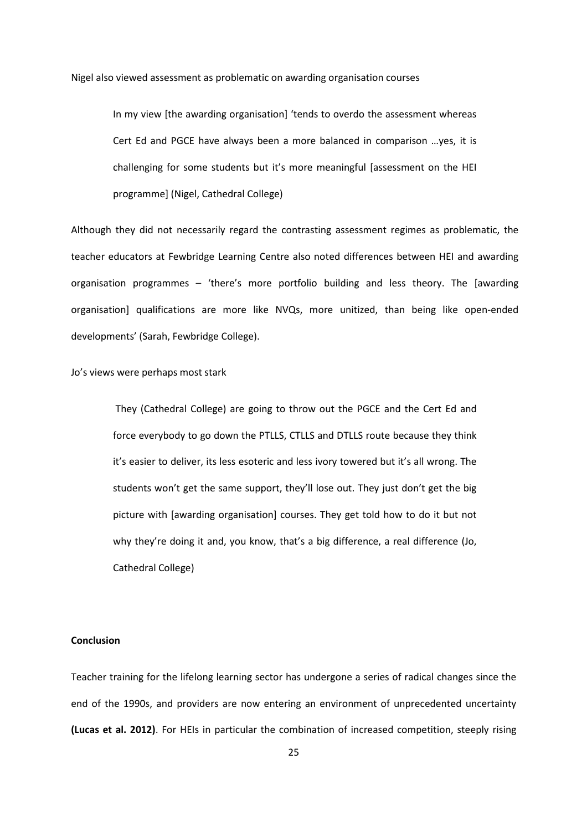Nigel also viewed assessment as problematic on awarding organisation courses

In my view [the awarding organisation] 'tends to overdo the assessment whereas Cert Ed and PGCE have always been a more balanced in comparison …yes, it is challenging for some students but it's more meaningful [assessment on the HEI programme] (Nigel, Cathedral College)

Although they did not necessarily regard the contrasting assessment regimes as problematic, the teacher educators at Fewbridge Learning Centre also noted differences between HEI and awarding organisation programmes – 'there's more portfolio building and less theory. The [awarding organisation] qualifications are more like NVQs, more unitized, than being like open-ended developments' (Sarah, Fewbridge College).

Jo's views were perhaps most stark

 They (Cathedral College) are going to throw out the PGCE and the Cert Ed and force everybody to go down the PTLLS, CTLLS and DTLLS route because they think it's easier to deliver, its less esoteric and less ivory towered but it's all wrong. The students won't get the same support, they'll lose out. They just don't get the big picture with [awarding organisation] courses. They get told how to do it but not why they're doing it and, you know, that's a big difference, a real difference (Jo, Cathedral College)

## Conclusion

Teacher training for the lifelong learning sector has undergone a series of radical changes since the end of the 1990s, and providers are now entering an environment of unprecedented uncertainty (Lucas et al. 2012). For HEIs in particular the combination of increased competition, steeply rising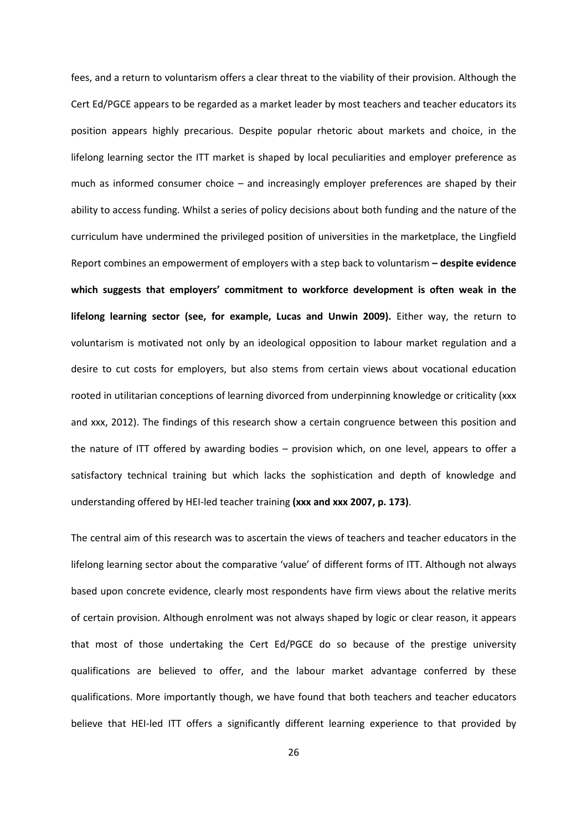fees, and a return to voluntarism offers a clear threat to the viability of their provision. Although the Cert Ed/PGCE appears to be regarded as a market leader by most teachers and teacher educators its position appears highly precarious. Despite popular rhetoric about markets and choice, in the lifelong learning sector the ITT market is shaped by local peculiarities and employer preference as much as informed consumer choice – and increasingly employer preferences are shaped by their ability to access funding. Whilst a series of policy decisions about both funding and the nature of the curriculum have undermined the privileged position of universities in the marketplace, the Lingfield Report combines an empowerment of employers with a step back to voluntarism - despite evidence which suggests that employers' commitment to workforce development is often weak in the lifelong learning sector (see, for example, Lucas and Unwin 2009). Either way, the return to voluntarism is motivated not only by an ideological opposition to labour market regulation and a desire to cut costs for employers, but also stems from certain views about vocational education rooted in utilitarian conceptions of learning divorced from underpinning knowledge or criticality (xxx and xxx, 2012). The findings of this research show a certain congruence between this position and the nature of ITT offered by awarding bodies – provision which, on one level, appears to offer a satisfactory technical training but which lacks the sophistication and depth of knowledge and understanding offered by HEI-led teacher training (xxx and xxx 2007, p. 173).

The central aim of this research was to ascertain the views of teachers and teacher educators in the lifelong learning sector about the comparative 'value' of different forms of ITT. Although not always based upon concrete evidence, clearly most respondents have firm views about the relative merits of certain provision. Although enrolment was not always shaped by logic or clear reason, it appears that most of those undertaking the Cert Ed/PGCE do so because of the prestige university qualifications are believed to offer, and the labour market advantage conferred by these qualifications. More importantly though, we have found that both teachers and teacher educators believe that HEI-led ITT offers a significantly different learning experience to that provided by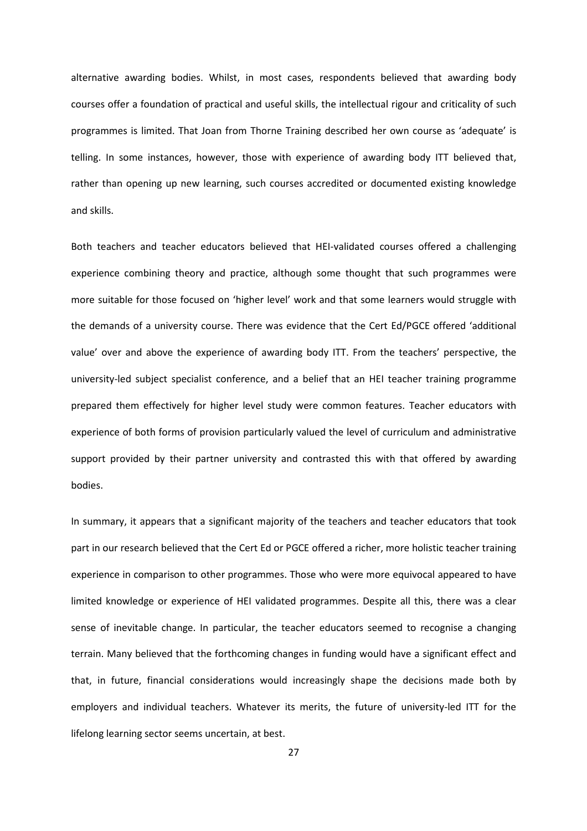alternative awarding bodies. Whilst, in most cases, respondents believed that awarding body courses offer a foundation of practical and useful skills, the intellectual rigour and criticality of such programmes is limited. That Joan from Thorne Training described her own course as 'adequate' is telling. In some instances, however, those with experience of awarding body ITT believed that, rather than opening up new learning, such courses accredited or documented existing knowledge and skills.

Both teachers and teacher educators believed that HEI-validated courses offered a challenging experience combining theory and practice, although some thought that such programmes were more suitable for those focused on 'higher level' work and that some learners would struggle with the demands of a university course. There was evidence that the Cert Ed/PGCE offered 'additional value' over and above the experience of awarding body ITT. From the teachers' perspective, the university-led subject specialist conference, and a belief that an HEI teacher training programme prepared them effectively for higher level study were common features. Teacher educators with experience of both forms of provision particularly valued the level of curriculum and administrative support provided by their partner university and contrasted this with that offered by awarding bodies.

In summary, it appears that a significant majority of the teachers and teacher educators that took part in our research believed that the Cert Ed or PGCE offered a richer, more holistic teacher training experience in comparison to other programmes. Those who were more equivocal appeared to have limited knowledge or experience of HEI validated programmes. Despite all this, there was a clear sense of inevitable change. In particular, the teacher educators seemed to recognise a changing terrain. Many believed that the forthcoming changes in funding would have a significant effect and that, in future, financial considerations would increasingly shape the decisions made both by employers and individual teachers. Whatever its merits, the future of university-led ITT for the lifelong learning sector seems uncertain, at best.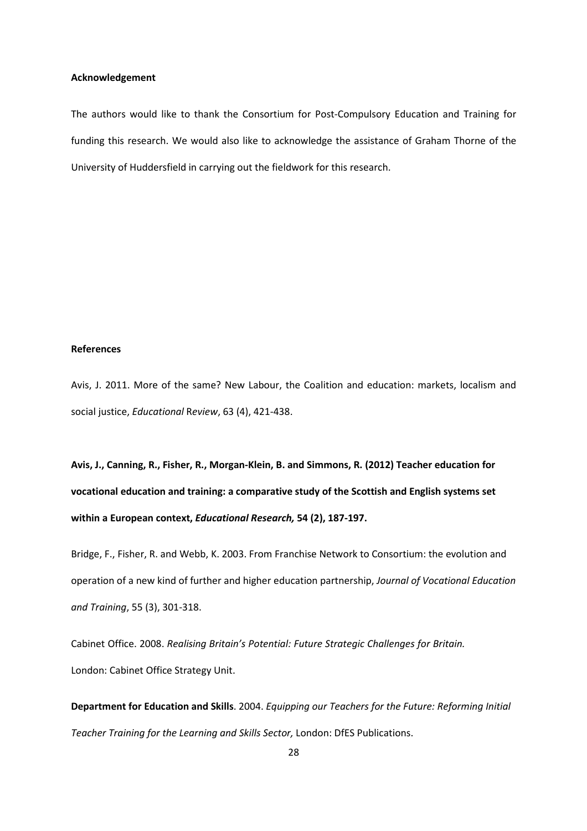## Acknowledgement

The authors would like to thank the Consortium for Post-Compulsory Education and Training for funding this research. We would also like to acknowledge the assistance of Graham Thorne of the University of Huddersfield in carrying out the fieldwork for this research.

## References

Avis, J. 2011. More of the same? New Labour, the Coalition and education: markets, localism and social justice, Educational Review, 63 (4), 421-438.

Avis, J., Canning, R., Fisher, R., Morgan-Klein, B. and Simmons, R. (2012) Teacher education for vocational education and training: a comparative study of the Scottish and English systems set within a European context, Educational Research, 54 (2), 187-197.

Bridge, F., Fisher, R. and Webb, K. 2003. From Franchise Network to Consortium: the evolution and operation of a new kind of further and higher education partnership, Journal of Vocational Education and Training, 55 (3), 301-318.

Cabinet Office. 2008. Realising Britain's Potential: Future Strategic Challenges for Britain. London: Cabinet Office Strategy Unit.

Department for Education and Skills. 2004. Equipping our Teachers for the Future: Reforming Initial Teacher Training for the Learning and Skills Sector, London: DfES Publications.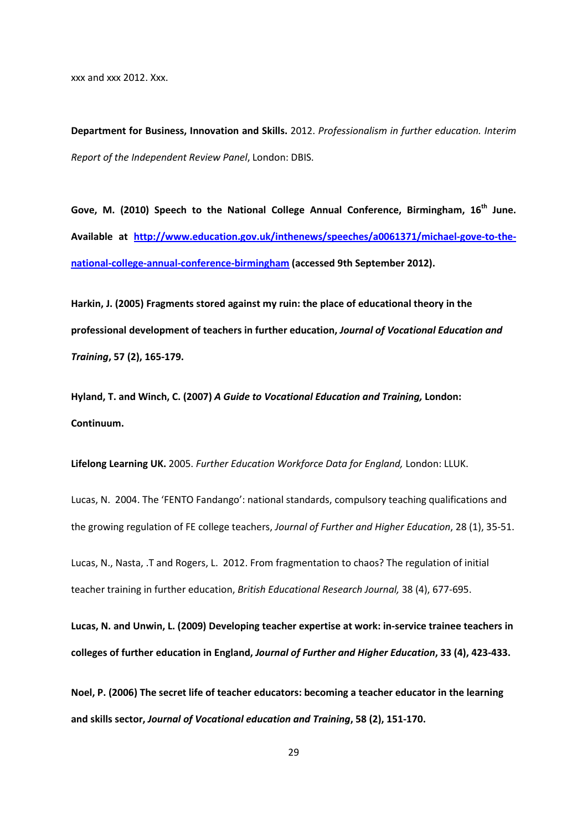xxx and xxx 2012. Xxx.

Department for Business, Innovation and Skills. 2012. Professionalism in further education. Interim Report of the Independent Review Panel, London: DBIS.

Gove, M. (2010) Speech to the National College Annual Conference, Birmingham, 16<sup>th</sup> June. Available at http://www.education.gov.uk/inthenews/speeches/a0061371/michael-gove-to-thenational-college-annual-conference-birmingham (accessed 9th September 2012).

Harkin, J. (2005) Fragments stored against my ruin: the place of educational theory in the professional development of teachers in further education, Journal of Vocational Education and Training, 57 (2), 165-179.

Hyland, T. and Winch, C. (2007) A Guide to Vocational Education and Training, London: Continuum.

Lifelong Learning UK. 2005. Further Education Workforce Data for England, London: LLUK.

Lucas, N. 2004. The 'FENTO Fandango': national standards, compulsory teaching qualifications and the growing regulation of FE college teachers, Journal of Further and Higher Education, 28 (1), 35-51.

Lucas, N., Nasta, .T and Rogers, L. 2012. From fragmentation to chaos? The regulation of initial teacher training in further education, British Educational Research Journal, 38 (4), 677-695.

Lucas, N. and Unwin, L. (2009) Developing teacher expertise at work: in-service trainee teachers in colleges of further education in England, Journal of Further and Higher Education, 33 (4), 423-433.

Noel, P. (2006) The secret life of teacher educators: becoming a teacher educator in the learning and skills sector, Journal of Vocational education and Training, 58 (2), 151-170.